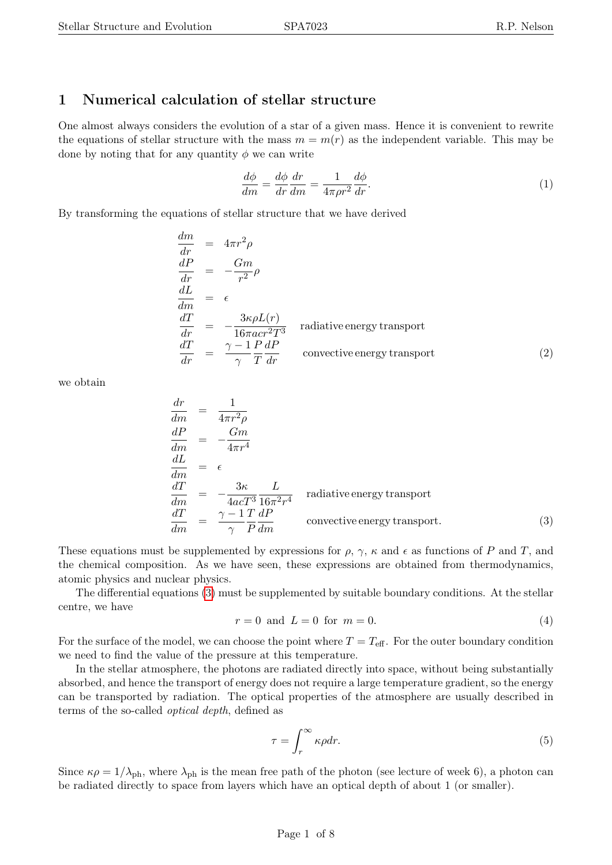# 1 Numerical calculation of stellar structure

One almost always considers the evolution of a star of a given mass. Hence it is convenient to rewrite the equations of stellar structure with the mass  $m = m(r)$  as the independent variable. This may be done by noting that for any quantity  $\phi$  we can write

$$
\frac{d\phi}{dm} = \frac{d\phi}{dr}\frac{dr}{dm} = \frac{1}{4\pi\rho r^2}\frac{d\phi}{dr}.\tag{1}
$$

By transforming the equations of stellar structure that we have derived

<span id="page-0-1"></span>
$$
\frac{dm}{dr} = 4\pi r^2 \rho
$$
\n
$$
\frac{dP}{dr} = -\frac{Gm}{r^2} \rho
$$
\n
$$
\frac{dL}{dm} = \epsilon
$$
\n
$$
\frac{dT}{dr} = -\frac{3\kappa\rho L(r)}{16\pi acr^2T^3}
$$
 radiative energy transport\n
$$
\frac{dT}{dr} = \frac{\gamma - 1}{\gamma} \frac{P}{T} \frac{dP}{dr}
$$
 convective energy transport (2)

we obtain

<span id="page-0-0"></span>
$$
\frac{dr}{dm} = \frac{1}{4\pi r^2 \rho}
$$
\n
$$
\frac{dP}{dm} = -\frac{Gm}{4\pi r^4}
$$
\n
$$
\frac{dL}{dm} = \epsilon
$$
\n
$$
\frac{dT}{dm} = -\frac{3\kappa}{4acT^3} \frac{L}{16\pi^2 r^4}
$$
\nradiative energy transport\n
$$
\frac{dT}{dm} = \frac{\gamma - 1}{\gamma} \frac{T}{P} \frac{dP}{dm}
$$
\nconvective energy transport. (3)

These equations must be supplemented by expressions for  $\rho$ ,  $\gamma$ ,  $\kappa$  and  $\epsilon$  as functions of P and T, and the chemical composition. As we have seen, these expressions are obtained from thermodynamics, atomic physics and nuclear physics.

The differential equations [\(3\)](#page-0-0) must be supplemented by suitable boundary conditions. At the stellar centre, we have

$$
r = 0 \text{ and } L = 0 \text{ for } m = 0. \tag{4}
$$

For the surface of the model, we can choose the point where  $T = T_{\text{eff}}$ . For the outer boundary condition we need to find the value of the pressure at this temperature.

In the stellar atmosphere, the photons are radiated directly into space, without being substantially absorbed, and hence the transport of energy does not require a large temperature gradient, so the energy can be transported by radiation. The optical properties of the atmosphere are usually described in terms of the so-called optical depth, defined as

$$
\tau = \int_{r}^{\infty} \kappa \rho dr. \tag{5}
$$

Since  $\kappa \rho = 1/\lambda_{\rm ph}$ , where  $\lambda_{\rm ph}$  is the mean free path of the photon (see lecture of week 6), a photon can be radiated directly to space from layers which have an optical depth of about 1 (or smaller).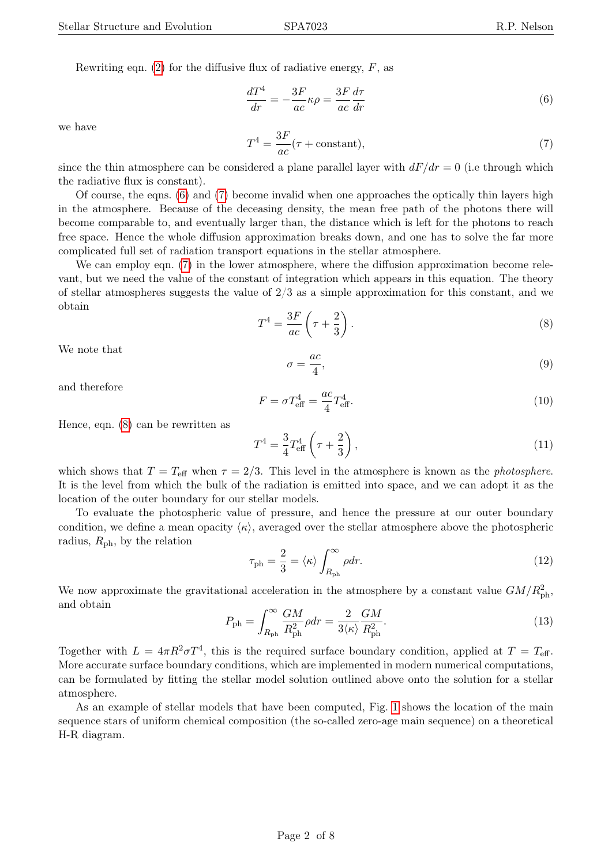Rewriting eqn. [\(2\)](#page-0-1) for the diffusive flux of radiative energy,  $F$ , as

<span id="page-1-0"></span>
$$
\frac{dT^4}{dr} = -\frac{3F}{ac}\kappa\rho = \frac{3F}{ac}\frac{d\tau}{dr} \tag{6}
$$

we have

<span id="page-1-1"></span>
$$
T^4 = \frac{3F}{ac}(\tau + \text{constant}),\tag{7}
$$

since the thin atmosphere can be considered a plane parallel layer with  $dF/dr = 0$  (i.e through which the radiative flux is constant).

Of course, the eqns. [\(6\)](#page-1-0) and [\(7\)](#page-1-1) become invalid when one approaches the optically thin layers high in the atmosphere. Because of the deceasing density, the mean free path of the photons there will become comparable to, and eventually larger than, the distance which is left for the photons to reach free space. Hence the whole diffusion approximation breaks down, and one has to solve the far more complicated full set of radiation transport equations in the stellar atmosphere.

We can employ eqn. [\(7\)](#page-1-1) in the lower atmosphere, where the diffusion approximation become relevant, but we need the value of the constant of integration which appears in this equation. The theory of stellar atmospheres suggests the value of  $2/3$  as a simple approximation for this constant, and we obtain

<span id="page-1-2"></span>
$$
T^4 = \frac{3F}{ac} \left( \tau + \frac{2}{3} \right). \tag{8}
$$

We note that

$$
\sigma = \frac{ac}{4},\tag{9}
$$

and therefore

$$
F = \sigma T_{\text{eff}}^4 = \frac{ac}{4} T_{\text{eff}}^4. \tag{10}
$$

Hence, eqn. [\(8\)](#page-1-2) can be rewritten as

$$
T^{4} = \frac{3}{4} T_{\text{eff}}^{4} \left( \tau + \frac{2}{3} \right), \tag{11}
$$

which shows that  $T = T_{\text{eff}}$  when  $\tau = 2/3$ . This level in the atmosphere is known as the *photosphere*. It is the level from which the bulk of the radiation is emitted into space, and we can adopt it as the location of the outer boundary for our stellar models.

To evaluate the photospheric value of pressure, and hence the pressure at our outer boundary condition, we define a mean opacity  $\langle \kappa \rangle$ , averaged over the stellar atmosphere above the photospheric radius,  $R_{\rm ph}$ , by the relation

$$
\tau_{\rm ph} = \frac{2}{3} = \langle \kappa \rangle \int_{R_{\rm ph}}^{\infty} \rho dr. \tag{12}
$$

We now approximate the gravitational acceleration in the atmosphere by a constant value  $GM/R_{\text{ph}}^2$ , and obtain

$$
P_{\rm ph} = \int_{R_{\rm ph}}^{\infty} \frac{GM}{R_{\rm ph}^2} \rho dr = \frac{2}{3 \langle \kappa \rangle} \frac{GM}{R_{\rm ph}^2}.
$$
\n(13)

Together with  $L = 4\pi R^2 \sigma T^4$ , this is the required surface boundary condition, applied at  $T = T_{\text{eff}}$ . More accurate surface boundary conditions, which are implemented in modern numerical computations, can be formulated by fitting the stellar model solution outlined above onto the solution for a stellar atmosphere.

As an example of stellar models that have been computed, Fig. [1](#page-2-0) shows the location of the main sequence stars of uniform chemical composition (the so-called zero-age main sequence) on a theoretical H-R diagram.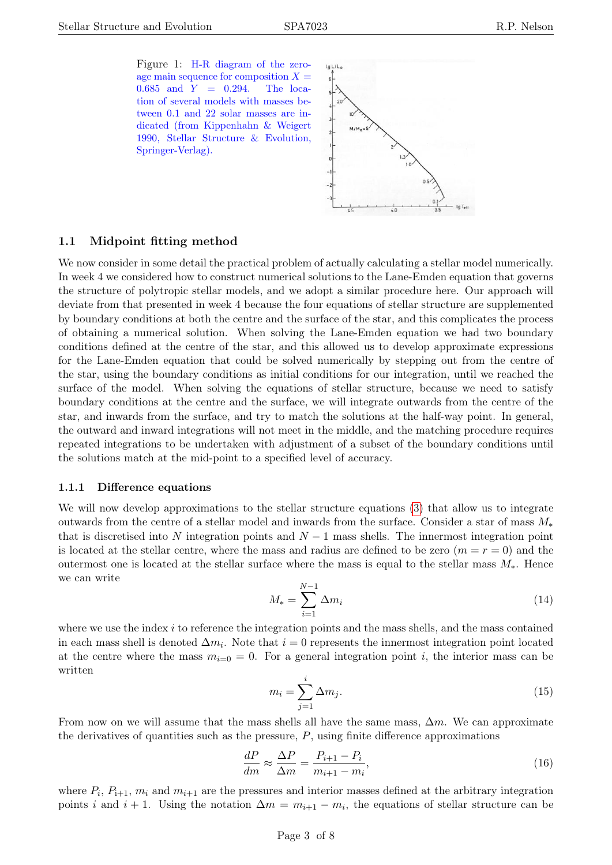<span id="page-2-0"></span>Figure 1: H-R diagram of the zeroage main sequence for composition  $X =$  $0.685$  and  $Y = 0.294$ . The location of several models with masses between 0.1 and 22 solar masses are indicated (from Kippenhahn & Weigert 1990, Stellar Structure & Evolution, Springer-Verlag).



## 1.1 Midpoint fitting method

We now consider in some detail the practical problem of actually calculating a stellar model numerically. In week 4 we considered how to construct numerical solutions to the Lane-Emden equation that governs the structure of polytropic stellar models, and we adopt a similar procedure here. Our approach will deviate from that presented in week 4 because the four equations of stellar structure are supplemented by boundary conditions at both the centre and the surface of the star, and this complicates the process of obtaining a numerical solution. When solving the Lane-Emden equation we had two boundary conditions defined at the centre of the star, and this allowed us to develop approximate expressions for the Lane-Emden equation that could be solved numerically by stepping out from the centre of the star, using the boundary conditions as initial conditions for our integration, until we reached the surface of the model. When solving the equations of stellar structure, because we need to satisfy boundary conditions at the centre and the surface, we will integrate outwards from the centre of the star, and inwards from the surface, and try to match the solutions at the half-way point. In general, the outward and inward integrations will not meet in the middle, and the matching procedure requires repeated integrations to be undertaken with adjustment of a subset of the boundary conditions until the solutions match at the mid-point to a specified level of accuracy.

#### 1.1.1 Difference equations

We will now develop approximations to the stellar structure equations [\(3\)](#page-0-0) that allow us to integrate outwards from the centre of a stellar model and inwards from the surface. Consider a star of mass  $M_*$ that is discretised into N integration points and  $N-1$  mass shells. The innermost integration point is located at the stellar centre, where the mass and radius are defined to be zero  $(m = r = 0)$  and the outermost one is located at the stellar surface where the mass is equal to the stellar mass  $M_*$ . Hence we can write

$$
M_{*} = \sum_{i=1}^{N-1} \Delta m_{i}
$$
 (14)

where we use the index i to reference the integration points and the mass shells, and the mass contained in each mass shell is denoted  $\Delta m_i$ . Note that  $i = 0$  represents the innermost integration point located at the centre where the mass  $m_{i=0} = 0$ . For a general integration point i, the interior mass can be written

$$
m_i = \sum_{j=1}^i \Delta m_j. \tag{15}
$$

From now on we will assume that the mass shells all have the same mass,  $\Delta m$ . We can approximate the derivatives of quantities such as the pressure,  $P$ , using finite difference approximations

$$
\frac{dP}{dm} \approx \frac{\Delta P}{\Delta m} = \frac{P_{i+1} - P_i}{m_{i+1} - m_i},\tag{16}
$$

where  $P_i$ ,  $P_{i+1}$ ,  $m_i$  and  $m_{i+1}$  are the pressures and interior masses defined at the arbitrary integration points *i* and  $i + 1$ . Using the notation  $\Delta m = m_{i+1} - m_i$ , the equations of stellar structure can be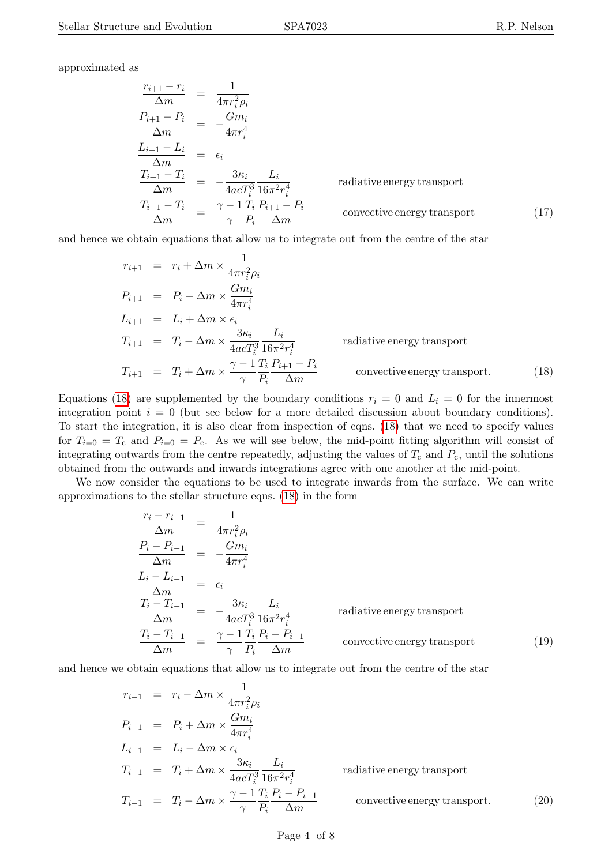approximated as

<span id="page-3-2"></span>
$$
\frac{r_{i+1} - r_i}{\Delta m} = \frac{1}{4\pi r_i^2 \rho_i}
$$
\n
$$
\frac{P_{i+1} - P_i}{\Delta m} = -\frac{Gm_i}{4\pi r_i^4}
$$
\n
$$
\frac{L_{i+1} - L_i}{\Delta m} = \epsilon_i
$$
\n
$$
\frac{T_{i+1} - T_i}{\Delta m} = -\frac{3\kappa_i}{4acT_i^3} \frac{L_i}{16\pi^2 r_i^4}
$$
\nradiative energy transport\n
$$
\frac{T_{i+1} - T_i}{\Delta m} = \frac{\gamma - 1}{\gamma} \frac{T_i}{P_i} \frac{P_{i+1} - P_i}{\Delta m}
$$
\nconsecutive energy transport (17)

and hence we obtain equations that allow us to integrate out from the centre of the star

<span id="page-3-0"></span>
$$
r_{i+1} = r_i + \Delta m \times \frac{1}{4\pi r_i^2 \rho_i}
$$
  
\n
$$
P_{i+1} = P_i - \Delta m \times \frac{Gm_i}{4\pi r_i^4}
$$
  
\n
$$
L_{i+1} = L_i + \Delta m \times \epsilon_i
$$
  
\n
$$
T_{i+1} = T_i - \Delta m \times \frac{3\kappa_i}{4acT_i^3} \frac{L_i}{16\pi^2 r_i^4}
$$
 radiative energy transport  
\n
$$
T_{i+1} = T_i + \Delta m \times \frac{\gamma - 1}{\gamma} \frac{T_i}{P_i} \frac{P_{i+1} - P_i}{\Delta m}
$$
consecutive energy transport. (18)

Equations [\(18\)](#page-3-0) are supplemented by the boundary conditions  $r_i = 0$  and  $L_i = 0$  for the innermost integration point  $i = 0$  (but see below for a more detailed discussion about boundary conditions). To start the integration, it is also clear from inspection of eqns. [\(18\)](#page-3-0) that we need to specify values for  $T_{i=0} = T_c$  and  $P_{i=0} = P_c$ . As we will see below, the mid-point fitting algorithm will consist of integrating outwards from the centre repeatedly, adjusting the values of  $T_c$  and  $P_c$ , until the solutions obtained from the outwards and inwards integrations agree with one another at the mid-point.

We now consider the equations to be used to integrate inwards from the surface. We can write approximations to the stellar structure eqns. [\(18\)](#page-3-0) in the form

$$
\frac{r_i - r_{i-1}}{\Delta m} = \frac{1}{4\pi r_i^2 \rho_i}
$$
\n
$$
\frac{P_i - P_{i-1}}{\Delta m} = -\frac{Gm_i}{4\pi r_i^4}
$$
\n
$$
\frac{L_i - L_{i-1}}{\Delta m} = \epsilon_i
$$
\n
$$
\frac{T_i - T_{i-1}}{\Delta m} = -\frac{3\kappa_i}{4acT_i^3} \frac{L_i}{16\pi^2 r_i^4}
$$
\nradiative energy transport\n
$$
\frac{T_i - T_{i-1}}{\Delta m} = \frac{\gamma - 1}{\gamma} \frac{T_i}{P_i} \frac{P_i - P_{i-1}}{\Delta m}
$$
\nconvective energy transport\n(19)

and hence we obtain equations that allow us to integrate out from the centre of the star

<span id="page-3-1"></span>
$$
r_{i-1} = r_i - \Delta m \times \frac{1}{4\pi r_i^2 \rho_i}
$$
  
\n
$$
P_{i-1} = P_i + \Delta m \times \frac{Gm_i}{4\pi r_i^4}
$$
  
\n
$$
L_{i-1} = L_i - \Delta m \times \epsilon_i
$$
  
\n
$$
T_{i-1} = T_i + \Delta m \times \frac{3\kappa_i}{4acT_i^3} \frac{L_i}{16\pi^2 r_i^4}
$$
 radiative energy transport  
\n
$$
T_{i-1} = T_i - \Delta m \times \frac{\gamma - 1}{\gamma} \frac{T_i}{P_i} \frac{P_i - P_{i-1}}{\Delta m}
$$
 convective energy transport. (20)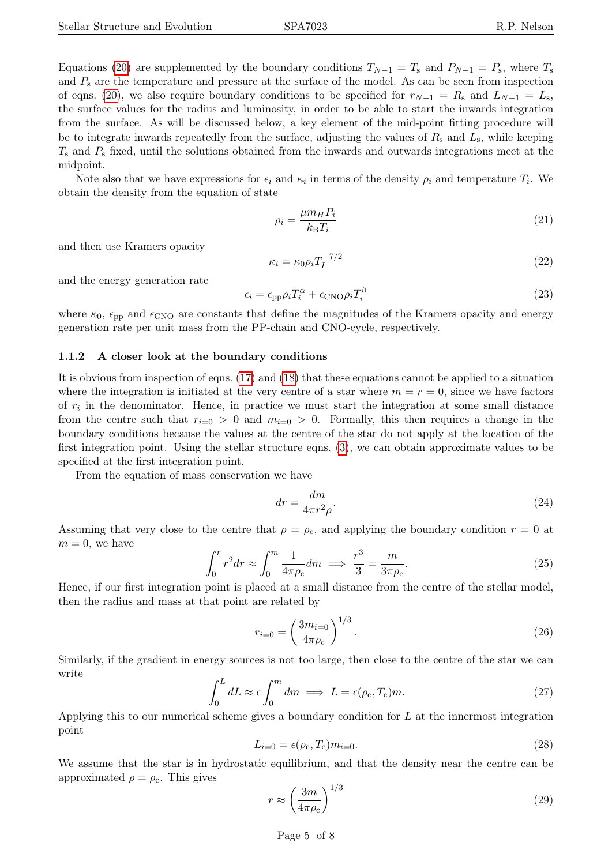Note also that we have expressions for  $\epsilon_i$  and  $\kappa_i$  in terms of the density  $\rho_i$  and temperature  $T_i$ . We obtain the density from the equation of state

$$
\rho_i = \frac{\mu m_H P_i}{k_B T_i} \tag{21}
$$

and then use Kramers opacity

$$
\kappa_i = \kappa_0 \rho_i T_I^{-7/2} \tag{22}
$$

and the energy generation rate

$$
\epsilon_i = \epsilon_{\rm pp} \rho_i T_i^{\alpha} + \epsilon_{\rm CNO} \rho_i T_i^{\beta} \tag{23}
$$

where  $\kappa_0$ ,  $\epsilon_{\text{pp}}$  and  $\epsilon_{\text{CNO}}$  are constants that define the magnitudes of the Kramers opacity and energy generation rate per unit mass from the PP-chain and CNO-cycle, respectively.

#### 1.1.2 A closer look at the boundary conditions

It is obvious from inspection of eqns. [\(17\)](#page-3-2) and [\(18\)](#page-3-0) that these equations cannot be applied to a situation where the integration is initiated at the very centre of a star where  $m = r = 0$ , since we have factors of  $r_i$  in the denominator. Hence, in practice we must start the integration at some small distance from the centre such that  $r_{i=0} > 0$  and  $m_{i=0} > 0$ . Formally, this then requires a change in the boundary conditions because the values at the centre of the star do not apply at the location of the first integration point. Using the stellar structure eqns. [\(3\)](#page-0-0), we can obtain approximate values to be specified at the first integration point.

From the equation of mass conservation we have

$$
dr = \frac{dm}{4\pi r^2 \rho}.\tag{24}
$$

Assuming that very close to the centre that  $\rho = \rho_c$ , and applying the boundary condition  $r = 0$  at  $m = 0$ , we have

$$
\int_0^r r^2 dr \approx \int_0^m \frac{1}{4\pi \rho_c} dm \implies \frac{r^3}{3} = \frac{m}{3\pi \rho_c}.
$$
 (25)

Hence, if our first integration point is placed at a small distance from the centre of the stellar model, then the radius and mass at that point are related by

$$
r_{i=0} = \left(\frac{3m_{i=0}}{4\pi\rho_{\rm c}}\right)^{1/3}.\tag{26}
$$

Similarly, if the gradient in energy sources is not too large, then close to the centre of the star we can write

$$
\int_0^L dL \approx \epsilon \int_0^m dm \implies L = \epsilon(\rho_c, T_c)m. \tag{27}
$$

Applying this to our numerical scheme gives a boundary condition for L at the innermost integration point

$$
L_{i=0} = \epsilon(\rho_{\rm c}, T_{\rm c}) m_{i=0}.\tag{28}
$$

We assume that the star is in hydrostatic equilibrium, and that the density near the centre can be approximated  $\rho = \rho_c$ . This gives

$$
r \approx \left(\frac{3m}{4\pi\rho_c}\right)^{1/3} \tag{29}
$$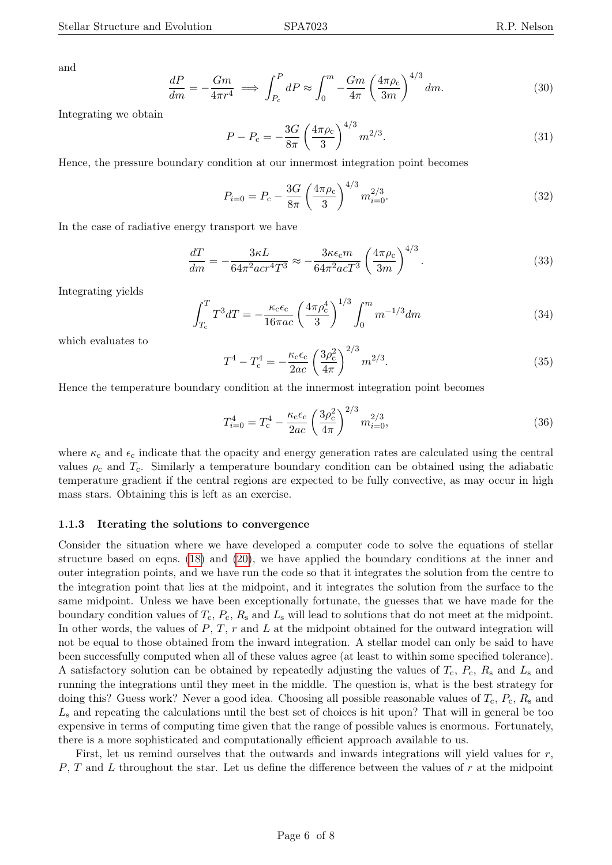and

$$
\frac{dP}{dm} = -\frac{Gm}{4\pi r^4} \implies \int_{P_c}^{P} dP \approx \int_0^m -\frac{Gm}{4\pi} \left(\frac{4\pi \rho_c}{3m}\right)^{4/3} dm. \tag{30}
$$

Integrating we obtain

$$
P - P_c = -\frac{3G}{8\pi} \left(\frac{4\pi\rho_c}{3}\right)^{4/3} m^{2/3}.
$$
\n(31)

Hence, the pressure boundary condition at our innermost integration point becomes

$$
P_{i=0} = P_{\rm c} - \frac{3G}{8\pi} \left(\frac{4\pi\rho_{\rm c}}{3}\right)^{4/3} m_{i=0}^{2/3}.
$$
 (32)

In the case of radiative energy transport we have

$$
\frac{dT}{dm} = -\frac{3\kappa L}{64\pi^2 a c r^4 T^3} \approx -\frac{3\kappa \epsilon_c m}{64\pi^2 a c T^3} \left(\frac{4\pi \rho_c}{3m}\right)^{4/3}.
$$
\n(33)

Integrating yields

$$
\int_{T_c}^{T} T^3 dT = -\frac{\kappa_c \epsilon_c}{16\pi ac} \left(\frac{4\pi \rho_c^4}{3}\right)^{1/3} \int_0^m m^{-1/3} dm \tag{34}
$$

which evaluates to

$$
T^{4} - T_{c}^{4} = -\frac{\kappa_{c}\epsilon_{c}}{2ac} \left(\frac{3\rho_{c}^{2}}{4\pi}\right)^{2/3} m^{2/3}.
$$
 (35)

Hence the temperature boundary condition at the innermost integration point becomes

$$
T_{i=0}^{4} = T_{\rm c}^{4} - \frac{\kappa_{\rm c}\epsilon_{\rm c}}{2ac} \left(\frac{3\rho_{\rm c}^{2}}{4\pi}\right)^{2/3} m_{i=0}^{2/3},\tag{36}
$$

where  $\kappa_c$  and  $\epsilon_c$  indicate that the opacity and energy generation rates are calculated using the central values  $\rho_c$  and  $T_c$ . Similarly a temperature boundary condition can be obtained using the adiabatic temperature gradient if the central regions are expected to be fully convective, as may occur in high mass stars. Obtaining this is left as an exercise.

### 1.1.3 Iterating the solutions to convergence

Consider the situation where we have developed a computer code to solve the equations of stellar structure based on eqns. [\(18\)](#page-3-0) and [\(20\)](#page-3-1), we have applied the boundary conditions at the inner and outer integration points, and we have run the code so that it integrates the solution from the centre to the integration point that lies at the midpoint, and it integrates the solution from the surface to the same midpoint. Unless we have been exceptionally fortunate, the guesses that we have made for the boundary condition values of  $T_c$ ,  $P_c$ ,  $R_s$  and  $L_s$  will lead to solutions that do not meet at the midpoint. In other words, the values of  $P, T, r$  and  $L$  at the midpoint obtained for the outward integration will not be equal to those obtained from the inward integration. A stellar model can only be said to have been successfully computed when all of these values agree (at least to within some specified tolerance). A satisfactory solution can be obtained by repeatedly adjusting the values of  $T_c$ ,  $P_c$ ,  $R_s$  and  $L_s$  and running the integrations until they meet in the middle. The question is, what is the best strategy for doing this? Guess work? Never a good idea. Choosing all possible reasonable values of  $T_c$ ,  $P_c$ ,  $R_s$  and  $L<sub>s</sub>$  and repeating the calculations until the best set of choices is hit upon? That will in general be too expensive in terms of computing time given that the range of possible values is enormous. Fortunately, there is a more sophisticated and computationally efficient approach available to us.

First, let us remind ourselves that the outwards and inwards integrations will yield values for r,  $P, T$  and L throughout the star. Let us define the difference between the values of r at the midpoint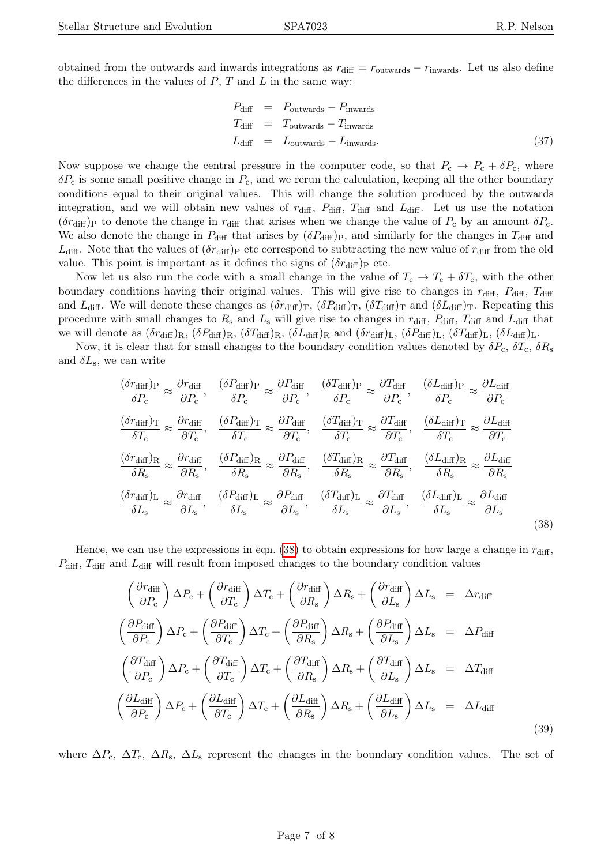obtained from the outwards and inwards integrations as  $r_{\text{diff}} = r_{\text{outwards}} - r_{\text{inwards}}$ . Let us also define the differences in the values of  $P$ ,  $T$  and  $L$  in the same way:

$$
P_{\text{diff}} = P_{\text{outwards}} - P_{\text{inwards}} T_{\text{diff}} = T_{\text{outwards}} - T_{\text{inwards}} L_{\text{diff}} = L_{\text{outwards}} - L_{\text{inwards}}.
$$
\n(37)

Now suppose we change the central pressure in the computer code, so that  $P_c \to P_c + \delta P_c$ , where  $\delta P_c$  is some small positive change in  $P_c$ , and we rerun the calculation, keeping all the other boundary conditions equal to their original values. This will change the solution produced by the outwards integration, and we will obtain new values of  $r_{\text{diff}}$ ,  $P_{\text{diff}}$ ,  $T_{\text{diff}}$  and  $L_{\text{diff}}$ . Let us use the notation  $(\delta r_{\text{diff}})$ <sub>P</sub> to denote the change in  $r_{\text{diff}}$  that arises when we change the value of  $P_c$  by an amount  $\delta P_c$ . We also denote the change in  $P_{\text{diff}}$  that arises by  $(\delta P_{\text{diff}})_{\text{P}}$ , and similarly for the changes in  $T_{\text{diff}}$  and  $L_{\text{diff}}$ . Note that the values of  $(\delta r_{\text{diff}})P$  etc correspond to subtracting the new value of  $r_{\text{diff}}$  from the old value. This point is important as it defines the signs of  $(\delta r_{\text{diff}})P$  etc.

Now let us also run the code with a small change in the value of  $T_c \rightarrow T_c + \delta T_c$ , with the other boundary conditions having their original values. This will give rise to changes in  $r_{\text{diff}}$ ,  $P_{\text{diff}}$ ,  $T_{\text{diff}}$ and  $L_{\text{diff}}$ . We will denote these changes as  $(\delta r_{\text{diff}})_T$ ,  $(\delta P_{\text{diff}})_T$ ,  $(\delta T_{\text{diff}})_T$  and  $(\delta L_{\text{diff}})_T$ . Repeating this procedure with small changes to  $R_s$  and  $L_s$  will give rise to changes in  $r_{\text{diff}}$ ,  $P_{\text{diff}}$ ,  $T_{\text{diff}}$  and  $L_{\text{diff}}$  that we will denote as  $(\delta r_{\text{diff}})_{\text{R}}$ ,  $(\delta P_{\text{diff}})_{\text{R}}$ ,  $(\delta L_{\text{diff}})_{\text{R}}$ ,  $(\delta L_{\text{diff}})_{\text{R}}$ ,  $(\delta r_{\text{diff}})_{\text{L}}$ ,  $(\delta P_{\text{diff}})_{\text{L}}$ ,  $(\delta L_{\text{diff}})_{\text{L}}$ ,  $(\delta L_{\text{diff}})_{\text{L}}$ .

Now, it is clear that for small changes to the boundary condition values denoted by  $\delta P_c$ ,  $\delta T_c$ ,  $\delta R_s$ and  $\delta L_{\rm s}$ , we can write

<span id="page-6-0"></span>
$$
\frac{(\delta r_{\text{diff}})P}{\delta P_c} \approx \frac{\partial r_{\text{diff}}}{\partial P_c}, \quad \frac{(\delta P_{\text{diff}})P}{\delta P_c} \approx \frac{\partial P_{\text{diff}}}{\partial P_c}, \quad \frac{(\delta T_{\text{diff}})P}{\delta P_c} \approx \frac{\partial T_{\text{diff}}}{\partial P_c}, \quad \frac{(\delta L_{\text{diff}})P}{\delta P_c} \approx \frac{\partial L_{\text{diff}}}{\partial P_c}
$$
\n
$$
\frac{(\delta r_{\text{diff}})T}{\delta T_c} \approx \frac{\partial r_{\text{diff}}}{\partial T_c}, \quad \frac{(\delta P_{\text{diff}})T}{\delta T_c} \approx \frac{\partial P_{\text{diff}}}{\partial T_c}, \quad \frac{(\delta T_{\text{diff}})T}{\delta T_c} \approx \frac{\partial T_{\text{diff}}}{\partial T_c}, \quad \frac{(\delta L_{\text{diff}})T}{\delta T_c} \approx \frac{\partial L_{\text{diff}}}{\partial T_c}
$$
\n
$$
\frac{(\delta r_{\text{diff}})R}{\delta R_s} \approx \frac{\partial r_{\text{diff}}}{\partial R_s}, \quad \frac{(\delta P_{\text{diff}})R}{\delta R_s} \approx \frac{\partial P_{\text{diff}}}{\partial R_s}, \quad \frac{(\delta T_{\text{diff}})R}{\delta R_s} \approx \frac{\partial T_{\text{diff}}}{\partial R_s}, \quad \frac{(\delta L_{\text{diff}})R}{\delta R_s} \approx \frac{\partial L_{\text{diff}}}{\partial R_s}
$$
\n
$$
\frac{(\delta r_{\text{diff}})L}{\delta L_s} \approx \frac{\partial r_{\text{diff}}}{\partial L_s}, \quad \frac{(\delta P_{\text{diff}})L}{\delta L_s} \approx \frac{\partial P_{\text{diff}}}{\delta L_s}, \quad \frac{(\delta T_{\text{diff}})L}{\delta L_s} \approx \frac{\partial T_{\text{diff}}}{\partial L_s}, \quad \frac{(\delta L_{\text{diff}})L}{\delta L_s} \approx \frac{\partial L_{\text{diff}}}{\partial L_s}
$$
\n(38)

Hence, we can use the expressions in eqn. [\(38\)](#page-6-0) to obtain expressions for how large a change in  $r_{\text{diff}}$ ,  $P_{\text{diff}}$ ,  $T_{\text{diff}}$  and  $L_{\text{diff}}$  will result from imposed changes to the boundary condition values

<span id="page-6-1"></span>
$$
\left(\frac{\partial r_{\text{diff}}}{\partial P_{\text{c}}}\right) \Delta P_{\text{c}} + \left(\frac{\partial r_{\text{diff}}}{\partial T_{\text{c}}}\right) \Delta T_{\text{c}} + \left(\frac{\partial r_{\text{diff}}}{\partial R_{\text{s}}}\right) \Delta R_{\text{s}} + \left(\frac{\partial r_{\text{diff}}}{\partial L_{\text{s}}}\right) \Delta L_{\text{s}} = \Delta r_{\text{diff}}
$$
\n
$$
\left(\frac{\partial P_{\text{diff}}}{\partial P_{\text{c}}}\right) \Delta P_{\text{c}} + \left(\frac{\partial P_{\text{diff}}}{\partial T_{\text{c}}}\right) \Delta T_{\text{c}} + \left(\frac{\partial P_{\text{diff}}}{\partial R_{\text{s}}}\right) \Delta R_{\text{s}} + \left(\frac{\partial P_{\text{diff}}}{\partial L_{\text{s}}}\right) \Delta L_{\text{s}} = \Delta P_{\text{diff}}
$$
\n
$$
\left(\frac{\partial T_{\text{diff}}}{\partial P_{\text{c}}}\right) \Delta P_{\text{c}} + \left(\frac{\partial T_{\text{diff}}}{\partial T_{\text{c}}}\right) \Delta T_{\text{c}} + \left(\frac{\partial T_{\text{diff}}}{\partial R_{\text{s}}}\right) \Delta R_{\text{s}} + \left(\frac{\partial T_{\text{diff}}}{\partial L_{\text{s}}}\right) \Delta L_{\text{s}} = \Delta T_{\text{diff}}
$$
\n
$$
\left(\frac{\partial L_{\text{diff}}}{\partial P_{\text{c}}}\right) \Delta P_{\text{c}} + \left(\frac{\partial L_{\text{diff}}}{\partial T_{\text{c}}}\right) \Delta T_{\text{c}} + \left(\frac{\partial L_{\text{diff}}}{\partial R_{\text{s}}}\right) \Delta R_{\text{s}} + \left(\frac{\partial L_{\text{diff}}}{\partial L_{\text{s}}}\right) \Delta L_{\text{s}} = \Delta L_{\text{diff}}
$$
\n(39)

where  $\Delta P_c$ ,  $\Delta T_c$ ,  $\Delta R_s$ ,  $\Delta L_s$  represent the changes in the boundary condition values. The set of